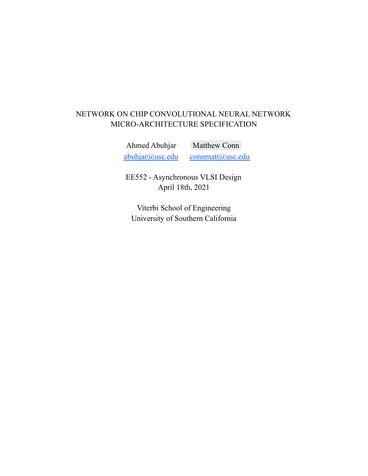# NETWORK ON CHIP CONVOLUTIONAL NEURAL NETWORK MICRO-ARCHITECTURE SPECIFICATION

Ahmed Abuhjar [Matthew](mailto:connmatt@usc.edu) Conn [abuhjar@usc.edu](mailto:abuhjar@usc.edu) [connmatt@usc.edu](mailto:connmatt@usc.edu)

EE552 - Asynchronous VLSI Design April 18th, 2021

Viterbi School of Engineering University of Southern California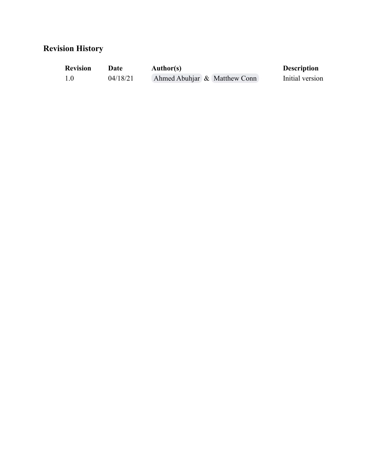# **Revision History**

| <b>Revision</b> | Date     | <b>Author(s)</b>             | <b>Description</b> |
|-----------------|----------|------------------------------|--------------------|
| 1.0             | 04/18/21 | Ahmed Abuhjar & Matthew Conn | Initial version    |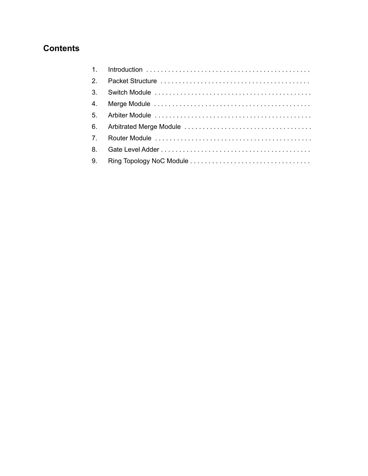# **Contents**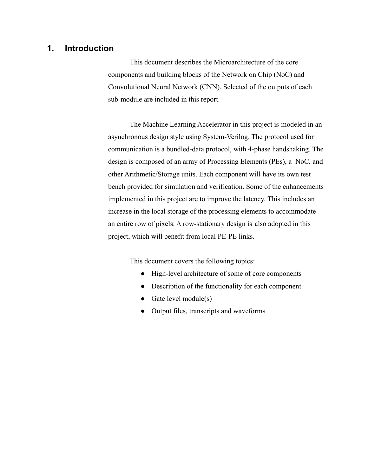# **1. Introduction**

This document describes the Microarchitecture of the core components and building blocks of the Network on Chip (NoC) and Convolutional Neural Network (CNN). Selected of the outputs of each sub-module are included in this report.

The Machine Learning Accelerator in this project is modeled in an asynchronous design style using System-Verilog. The protocol used for communication is a bundled-data protocol, with 4-phase handshaking. The design is composed of an array of Processing Elements (PEs), a NoC, and other Arithmetic/Storage units. Each component will have its own test bench provided for simulation and verification. Some of the enhancements implemented in this project are to improve the latency. This includes an increase in the local storage of the processing elements to accommodate an entire row of pixels. A row-stationary design is also adopted in this project, which will benefit from local PE-PE links.

This document covers the following topics:

- High-level architecture of some of core components
- Description of the functionality for each component
- Gate level module $(s)$
- Output files, transcripts and waveforms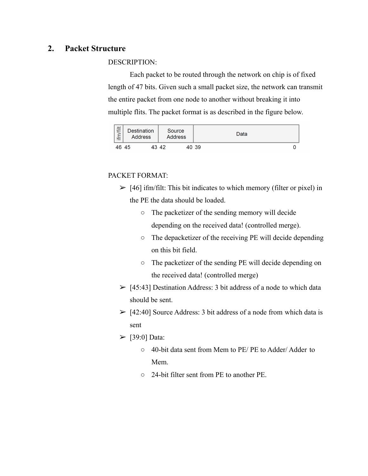# **2. Packet Structure**

### DESCRIPTION:

Each packet to be routed through the network on chip is of fixed length of 47 bits. Given such a small packet size, the network can transmit the entire packet from one node to another without breaking it into multiple flits. The packet format is as described in the figure below.



# PACKET FORMAT:

- $\geq$  [46] ifm/filt: This bit indicates to which memory (filter or pixel) in the PE the data should be loaded.
	- The packetizer of the sending memory will decide depending on the received data! (controlled merge).
	- The depacketizer of the receiving PE will decide depending on this bit field.
	- The packetizer of the sending PE will decide depending on the received data! (controlled merge)
- $\geq$  [45:43] Destination Address: 3 bit address of a node to which data should be sent.
- $>$  [42:40] Source Address: 3 bit address of a node from which data is sent
- $\triangleright$  [39:0] Data:
	- 40-bit data sent from Mem to PE/ PE to Adder/ Adder to Mem.
	- 24-bit filter sent from PE to another PE.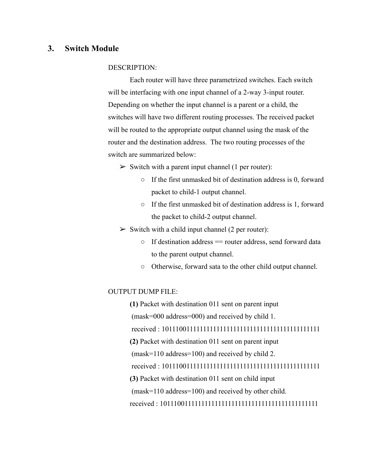# **3. Switch Module**

### DESCRIPTION:

Each router will have three parametrized switches. Each switch will be interfacing with one input channel of a 2-way 3-input router. Depending on whether the input channel is a parent or a child, the switches will have two different routing processes. The received packet will be routed to the appropriate output channel using the mask of the router and the destination address. The two routing processes of the switch are summarized below:

- $\triangleright$  Switch with a parent input channel (1 per router):
	- If the first unmasked bit of destination address is 0, forward packet to child-1 output channel.
	- If the first unmasked bit of destination address is 1, forward the packet to child-2 output channel.
- $\triangleright$  Switch with a child input channel (2 per router):
	- $\circ$  If destination address = router address, send forward data to the parent output channel.
	- Otherwise, forward sata to the other child output channel.

### OUTPUT DUMP FILE:

**(1)** Packet with destination 011 sent on parent input (mask=000 address=000) and received by child 1. received : 10111001111111111111111111111111111111111111111 **(2)** Packet with destination 011 sent on parent input (mask=110 address=100) and received by child 2. received : 10111001111111111111111111111111111111111111111 **(3)** Packet with destination 011 sent on child input (mask=110 address=100) and received by other child. received : 10111001111111111111111111111111111111111111111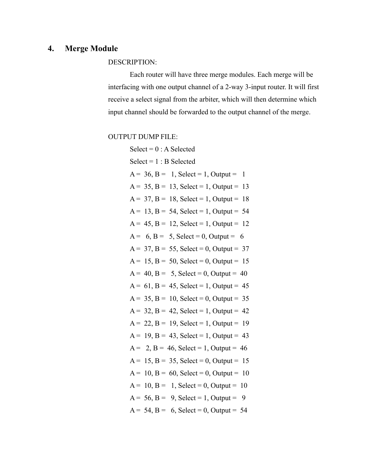# **4. Merge Module**

# DESCRIPTION:

Each router will have three merge modules. Each merge will be interfacing with one output channel of a 2-way 3-input router. It will first receive a select signal from the arbiter, which will then determine which input channel should be forwarded to the output channel of the merge.

# OUTPUT DUMP FILE:

| $Select = 0 : A Selected$                     |
|-----------------------------------------------|
| $Select = 1 : B Selected$                     |
| $A = 36$ , $B = 1$ , Select = 1, Output = 1   |
| $A = 35$ , $B = 13$ , Select = 1, Output = 13 |
| $A = 37$ , $B = 18$ , Select = 1, Output = 18 |
| $A = 13$ , $B = 54$ , Select = 1, Output = 54 |
| $A = 45$ , $B = 12$ , Select = 1, Output = 12 |
| $A = 6, B = 5, Select = 0, Output = 6$        |
| $A = 37$ , $B = 55$ , Select = 0, Output = 37 |
| $A = 15$ , $B = 50$ , Select = 0, Output = 15 |
| $A = 40$ , $B = 5$ , Select = 0, Output = 40  |
| $A = 61$ , $B = 45$ , Select = 1, Output = 45 |
| $A = 35$ , $B = 10$ , Select = 0, Output = 35 |
| $A = 32$ , $B = 42$ , Select = 1, Output = 42 |
| $A = 22$ , $B = 19$ , Select = 1, Output = 19 |
| $A = 19$ , $B = 43$ , Select = 1, Output = 43 |
| $A = 2$ , $B = 46$ , Select = 1, Output = 46  |
| $A = 15$ , $B = 35$ , Select = 0, Output = 15 |
| $A = 10$ , $B = 60$ , Select = 0, Output = 10 |
| $A = 10$ , $B = 1$ , Select = 0, Output = 10  |
| $A = 56$ , $B = 9$ , Select = 1, Output = 9   |
| $A = 54$ , $B = 6$ , Select = 0, Output = 54  |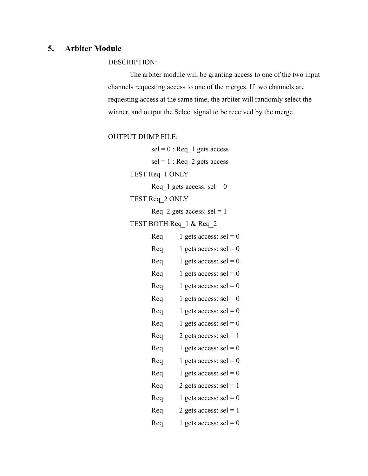### **5. Arbiter Module**

DESCRIPTION:

The arbiter module will be granting access to one of the two input channels requesting access to one of the merges. If two channels are requesting access at the same time, the arbiter will randomly select the winner, and output the Select signal to be received by the merge.

OUTPUT DUMP FILE:

 $\text{sel} = 0$ : Req\_1 gets access  $\text{sel} = 1$ : Req 2 gets access TEST Req\_1 ONLY Req  $1$  gets access: sel = 0 TEST Req\_2 ONLY Req 2 gets access:  $\text{sel} = 1$ TEST BOTH Req\_1 & Req\_2 Req 1 gets access:  $\text{sel} = 0$ Req 1 gets access:  $\text{sel} = 0$ Req 1 gets access: sel =  $0$ Req 1 gets access:  $\text{sel} = 0$ Req 1 gets access:  $\text{sel} = 0$ Req 1 gets access:  $\text{sel} = 0$ Req 1 gets access:  $\text{sel} = 0$ Req 1 gets access: sel =  $0$ Req  $2$  gets access: sel = 1 Req 1 gets access:  $\text{sel} = 0$ Req 1 gets access:  $\text{sel} = 0$ Req 1 gets access: sel = 0 Req 2 gets access: sel = 1 Req 1 gets access:  $\text{sel} = 0$ Req 2 gets access:  $\text{sel} = 1$ Req 1 gets access:  $\text{sel} = 0$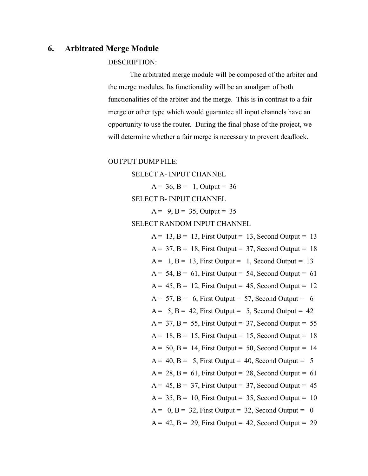### **6. Arbitrated Merge Module**

#### DESCRIPTION:

The arbitrated merge module will be composed of the arbiter and the merge modules. Its functionality will be an amalgam of both functionalities of the arbiter and the merge. This is in contrast to a fair merge or other type which would guarantee all input channels have an opportunity to use the router. During the final phase of the project, we will determine whether a fair merge is necessary to prevent deadlock.

OUTPUT DUMP FILE:

SELECT A- INPUT CHANNEL

```
A = 36, B = 1, Output = 36
```
SELECT B- INPUT CHANNEL

 $A = 9, B = 35, Output = 35$ 

SELECT RANDOM INPUT CHANNEL

 $A = 13$ ,  $B = 13$ , First Output = 13, Second Output = 13  $A = 37$ ,  $B = 18$ , First Output = 37, Second Output = 18  $A = 1$ ,  $B = 13$ , First Output = 1, Second Output = 13  $A = 54$ ,  $B = 61$ , First Output = 54, Second Output = 61  $A = 45$ ,  $B = 12$ , First Output = 45, Second Output = 12  $A = 57$ ,  $B = 6$ , First Output = 57, Second Output = 6  $A = 5$ ,  $B = 42$ , First Output = 5, Second Output = 42  $A = 37$ ,  $B = 55$ , First Output = 37, Second Output = 55  $A = 18$ ,  $B = 15$ , First Output = 15, Second Output = 18  $A = 50$ ,  $B = 14$ , First Output = 50, Second Output = 14  $A = 40$ ,  $B = 5$ , First Output = 40, Second Output = 5  $A = 28$ ,  $B = 61$ , First Output = 28, Second Output = 61  $A = 45$ ,  $B = 37$ , First Output = 37, Second Output = 45  $A = 35$ ,  $B = 10$ , First Output = 35, Second Output = 10  $A = 0$ ,  $B = 32$ , First Output = 32, Second Output = 0  $A = 42$ ,  $B = 29$ , First Output = 42, Second Output = 29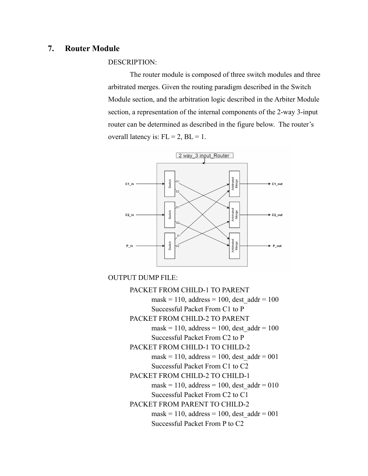### **7. Router Module**

DESCRIPTION:

The router module is composed of three switch modules and three arbitrated merges. Given the routing paradigm described in the Switch Module section, and the arbitration logic described in the Arbiter Module section, a representation of the internal components of the 2-way 3-input router can be determined as described in the figure below. The router's overall latency is:  $FL = 2$ ,  $BL = 1$ .



OUTPUT DUMP FILE:

PACKET FROM CHILD-1 TO PARENT mask = 110, address = 100, dest  $\text{addr} = 100$ Successful Packet From C1 to P PACKET FROM CHILD-2 TO PARENT mask = 110, address = 100, dest  $\text{addr} = 100$ Successful Packet From C2 to P PACKET FROM CHILD-1 TO CHILD-2 mask = 110, address = 100, dest  $\text{addr} = 001$ Successful Packet From C1 to C2 PACKET FROM CHILD-2 TO CHILD-1 mask = 110, address = 100, dest  $\text{addr} = 010$ Successful Packet From C2 to C1 PACKET FROM PARENT TO CHILD-2 mask = 110, address = 100, dest  $\text{addr} = 001$ Successful Packet From P to C2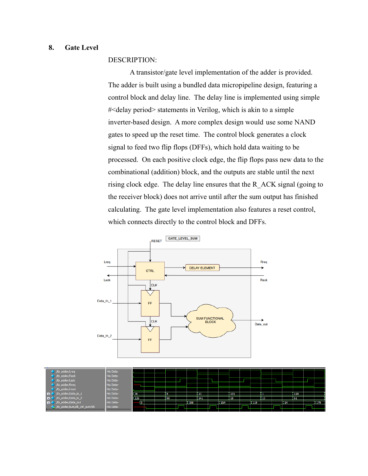### **8. Gate Level**

#### DESCRIPTION:

A transistor/gate level implementation of the adder is provided. The adder is built using a bundled data micropipeline design, featuring a control block and delay line. The delay line is implemented using simple #<delay period> statements in Verilog, which is akin to a simple inverter-based design. A more complex design would use some NAND gates to speed up the reset time. The control block generates a clock signal to feed two flip flops (DFFs), which hold data waiting to be processed. On each positive clock edge, the flip flops pass new data to the combinational (addition) block, and the outputs are stable until the next rising clock edge. The delay line ensures that the R\_ACK signal (going to the receiver block) does not arrive until after the sum output has finished calculating. The gate level implementation also features a reset control, which connects directly to the control block and DFFs.



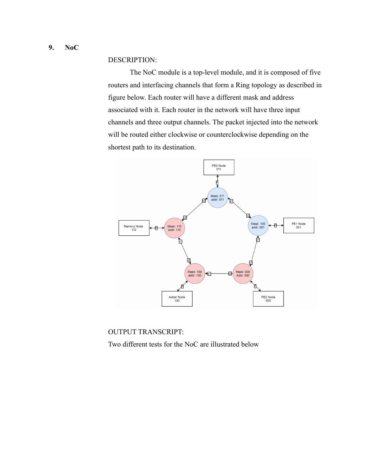DESCRIPTION:

The NoC module is a top-level module, and it is composed of five routers and interfacing channels that form a Ring topology as described in figure below. Each router will have a different mask and address associated with it. Each router in the network will have three input channels and three output channels. The packet injected into the network will be routed either clockwise or counterclockwise depending on the shortest path to its destination.



OUTPUT TRANSCRIPT:

Two different tests for the NoC are illustrated below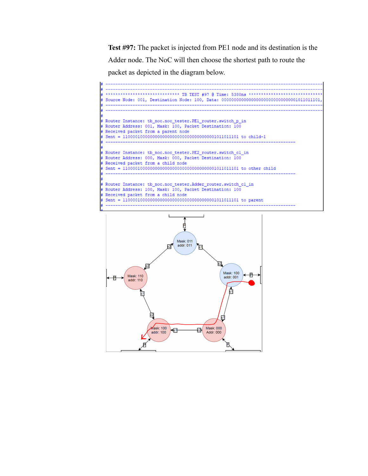**Test #97:** The packet is injected from PE1 node and its destination is the Adder node. The NoC will then choose the shortest path to route the packet as depicted in the diagram below.



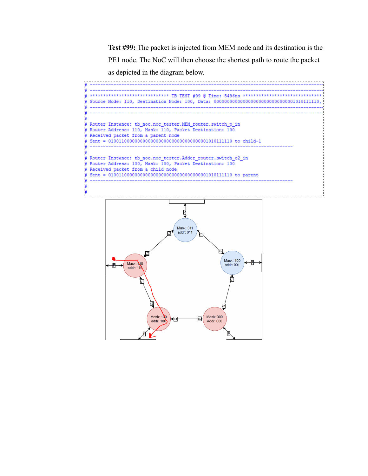**Test #99:** The packet is injected from MEM node and its destination is the PE1 node. The NoC will then choose the shortest path to route the packet as depicted in the diagram below.